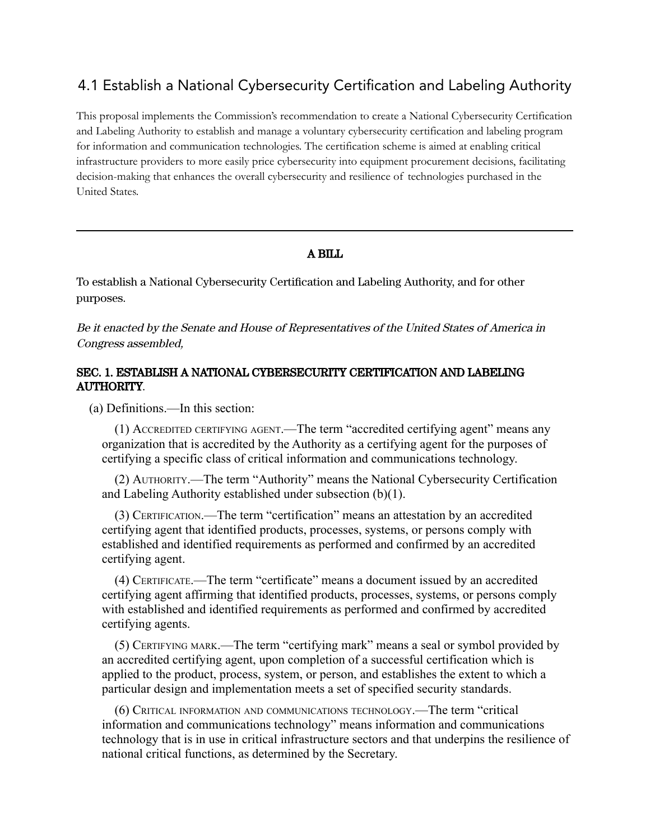## 4.1 Establish a National Cybersecurity Certification and Labeling Authority

This proposal implements the Commission's recommendation to create a National Cybersecurity Certification and Labeling Authority to establish and manage a voluntary cybersecurity certification and labeling program for information and communication technologies. The certification scheme is aimed at enabling critical infrastructure providers to more easily price cybersecurity into equipment procurement decisions, facilitating decision-making that enhances the overall cybersecurity and resilience of technologies purchased in the United States.

## A BILL

To establish a National Cybersecurity Certification and Labeling Authority, and for other purposes.

Be it enacted by the Senate and House of Representatives of the United States of America in Congress assembled,

## SEC. 1. ESTABLISH A NATIONAL CYBERSECURITY CERTIFICATION AND LABELING AUTHORITY.

(a) Definitions.—In this section:

(1) ACCREDITED CERTIFYING AGENT.—The term "accredited certifying agent" means any organization that is accredited by the Authority as a certifying agent for the purposes of certifying a specific class of critical information and communications technology.

(2) AUTHORITY.—The term "Authority" means the National Cybersecurity Certification and Labeling Authority established under subsection (b)(1).

(3) CERTIFICATION.—The term "certification" means an attestation by an accredited certifying agent that identified products, processes, systems, or persons comply with established and identified requirements as performed and confirmed by an accredited certifying agent.

(4) CERTIFICATE.—The term "certificate" means a document issued by an accredited certifying agent affirming that identified products, processes, systems, or persons comply with established and identified requirements as performed and confirmed by accredited certifying agents.

(5) CERTIFYING MARK.—The term "certifying mark" means a seal or symbol provided by an accredited certifying agent, upon completion of a successful certification which is applied to the product, process, system, or person, and establishes the extent to which a particular design and implementation meets a set of specified security standards.

(6) CRITICAL INFORMATION AND COMMUNICATIONS TECHNOLOGY.—The term "critical information and communications technology" means information and communications technology that is in use in critical infrastructure sectors and that underpins the resilience of national critical functions, as determined by the Secretary.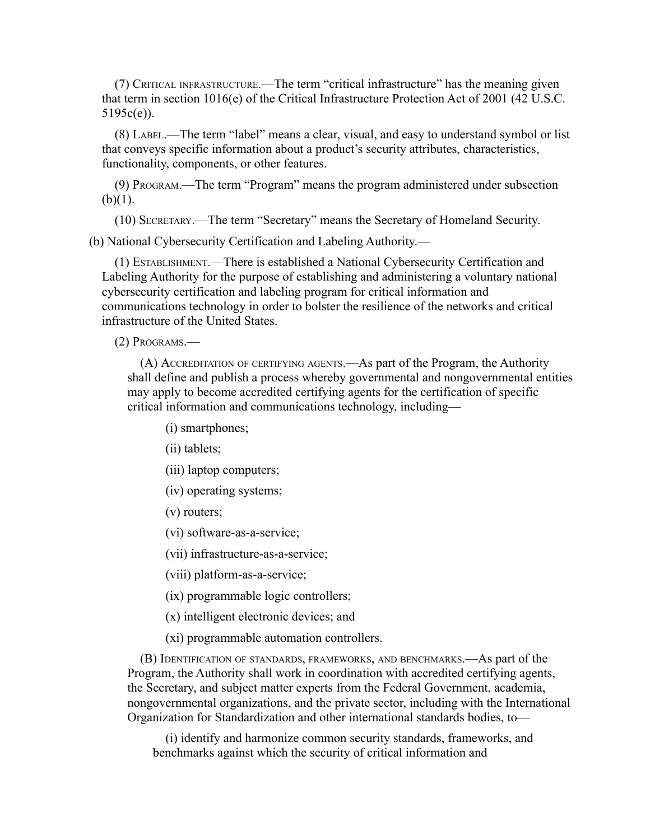(7) CRITICAL INFRASTRUCTURE.—The term "critical infrastructure" has the meaning given that term in section 1016(e) of the Critical Infrastructure Protection Act of 2001 (42 U.S.C. 5195c(e)).

(8) LABEL.—The term "label" means a clear, visual, and easy to understand symbol or list that conveys specific information about a product's security attributes, characteristics, functionality, components, or other features.

(9) PROGRAM.—The term "Program" means the program administered under subsection  $(b)(1)$ .

(10) SECRETARY.—The term "Secretary" means the Secretary of Homeland Security.

(b) National Cybersecurity Certification and Labeling Authority.—

(1) ESTABLISHMENT.—There is established a National Cybersecurity Certification and Labeling Authority for the purpose of establishing and administering a voluntary national cybersecurity certification and labeling program for critical information and communications technology in order to bolster the resilience of the networks and critical infrastructure of the United States.

(2) PROGRAMS.—

(A) ACCREDITATION OF CERTIFYING AGENTS.—As part of the Program, the Authority shall define and publish a process whereby governmental and nongovernmental entities may apply to become accredited certifying agents for the certification of specific critical information and communications technology, including—

(i) smartphones;

(ii) tablets;

(iii) laptop computers;

(iv) operating systems;

(v) routers;

(vi) software-as-a-service;

(vii) infrastructure-as-a-service;

(viii) platform-as-a-service;

(ix) programmable logic controllers;

(x) intelligent electronic devices; and

(xi) programmable automation controllers.

(B) IDENTIFICATION OF STANDARDS, FRAMEWORKS, AND BENCHMARKS.—As part of the Program, the Authority shall work in coordination with accredited certifying agents, the Secretary, and subject matter experts from the Federal Government, academia, nongovernmental organizations, and the private sector, including with the International Organization for Standardization and other international standards bodies, to—

(i) identify and harmonize common security standards, frameworks, and benchmarks against which the security of critical information and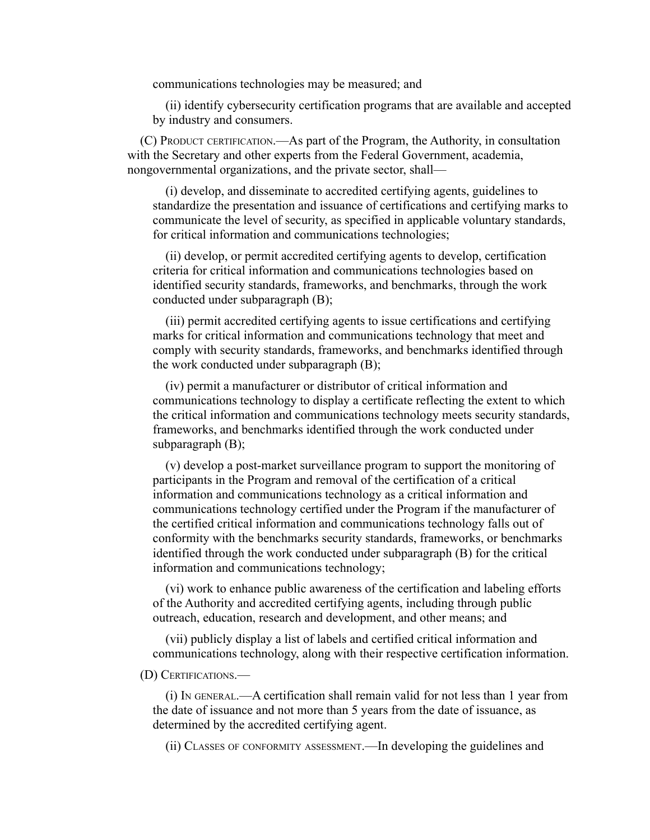communications technologies may be measured; and

(ii) identify cybersecurity certification programs that are available and accepted by industry and consumers.

(C) PRODUCT CERTIFICATION.—As part of the Program, the Authority, in consultation with the Secretary and other experts from the Federal Government, academia, nongovernmental organizations, and the private sector, shall—

(i) develop, and disseminate to accredited certifying agents, guidelines to standardize the presentation and issuance of certifications and certifying marks to communicate the level of security, as specified in applicable voluntary standards, for critical information and communications technologies;

(ii) develop, or permit accredited certifying agents to develop, certification criteria for critical information and communications technologies based on identified security standards, frameworks, and benchmarks, through the work conducted under subparagraph (B);

(iii) permit accredited certifying agents to issue certifications and certifying marks for critical information and communications technology that meet and comply with security standards, frameworks, and benchmarks identified through the work conducted under subparagraph (B);

(iv) permit a manufacturer or distributor of critical information and communications technology to display a certificate reflecting the extent to which the critical information and communications technology meets security standards, frameworks, and benchmarks identified through the work conducted under subparagraph (B);

(v) develop a post-market surveillance program to support the monitoring of participants in the Program and removal of the certification of a critical information and communications technology as a critical information and communications technology certified under the Program if the manufacturer of the certified critical information and communications technology falls out of conformity with the benchmarks security standards, frameworks, or benchmarks identified through the work conducted under subparagraph (B) for the critical information and communications technology;

(vi) work to enhance public awareness of the certification and labeling efforts of the Authority and accredited certifying agents, including through public outreach, education, research and development, and other means; and

(vii) publicly display a list of labels and certified critical information and communications technology, along with their respective certification information.

## (D) CERTIFICATIONS.—

(i) I<sup>N</sup> GENERAL.—A certification shall remain valid for not less than 1 year from the date of issuance and not more than 5 years from the date of issuance, as determined by the accredited certifying agent.

(ii) CLASSES OF CONFORMITY ASSESSMENT.—In developing the guidelines and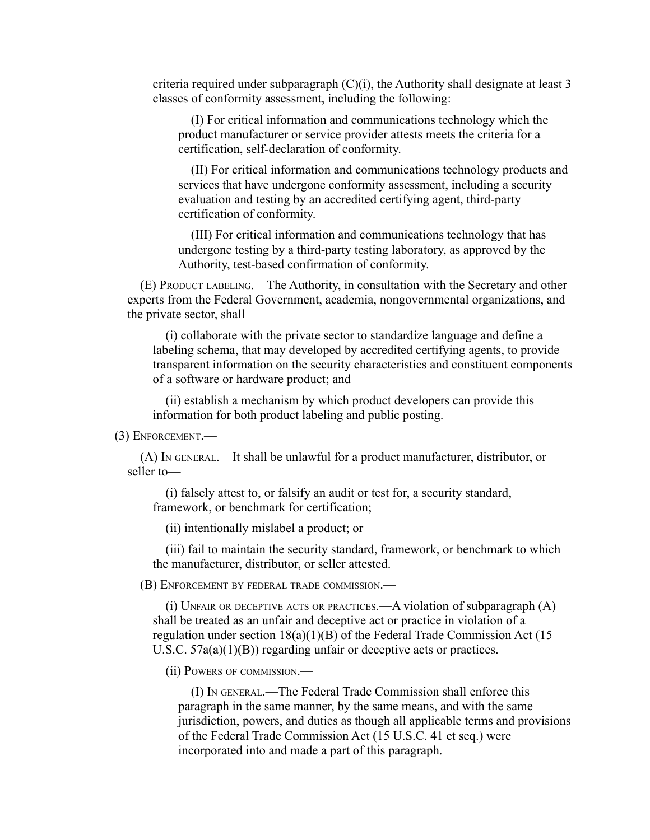criteria required under subparagraph  $(C)(i)$ , the Authority shall designate at least 3 classes of conformity assessment, including the following:

(I) For critical information and communications technology which the product manufacturer or service provider attests meets the criteria for a certification, self-declaration of conformity.

(II) For critical information and communications technology products and services that have undergone conformity assessment, including a security evaluation and testing by an accredited certifying agent, third-party certification of conformity.

(III) For critical information and communications technology that has undergone testing by a third-party testing laboratory, as approved by the Authority, test-based confirmation of conformity.

(E) PRODUCT LABELING.—The Authority, in consultation with the Secretary and other experts from the Federal Government, academia, nongovernmental organizations, and the private sector, shall—

(i) collaborate with the private sector to standardize language and define a labeling schema, that may developed by accredited certifying agents, to provide transparent information on the security characteristics and constituent components of a software or hardware product; and

(ii) establish a mechanism by which product developers can provide this information for both product labeling and public posting.

(3) ENFORCEMENT.—

(A) IN GENERAL.—It shall be unlawful for a product manufacturer, distributor, or seller to—

(i) falsely attest to, or falsify an audit or test for, a security standard, framework, or benchmark for certification;

(ii) intentionally mislabel a product; or

(iii) fail to maintain the security standard, framework, or benchmark to which the manufacturer, distributor, or seller attested.

(B) ENFORCEMENT BY FEDERAL TRADE COMMISSION.—

(i) UNFAIR OR DECEPTIVE ACTS OR PRACTICES.—A violation of subparagraph (A) shall be treated as an unfair and deceptive act or practice in violation of a regulation under section  $18(a)(1)(B)$  of the Federal Trade Commission Act (15) U.S.C. 57a(a)(1)(B)) regarding unfair or deceptive acts or practices.

(ii) POWERS OF COMMISSION.—

(I) I<sup>N</sup> GENERAL.—The Federal Trade Commission shall enforce this paragraph in the same manner, by the same means, and with the same jurisdiction, powers, and duties as though all applicable terms and provisions of the Federal Trade Commission Act (15 U.S.C. 41 et seq.) were incorporated into and made a part of this paragraph.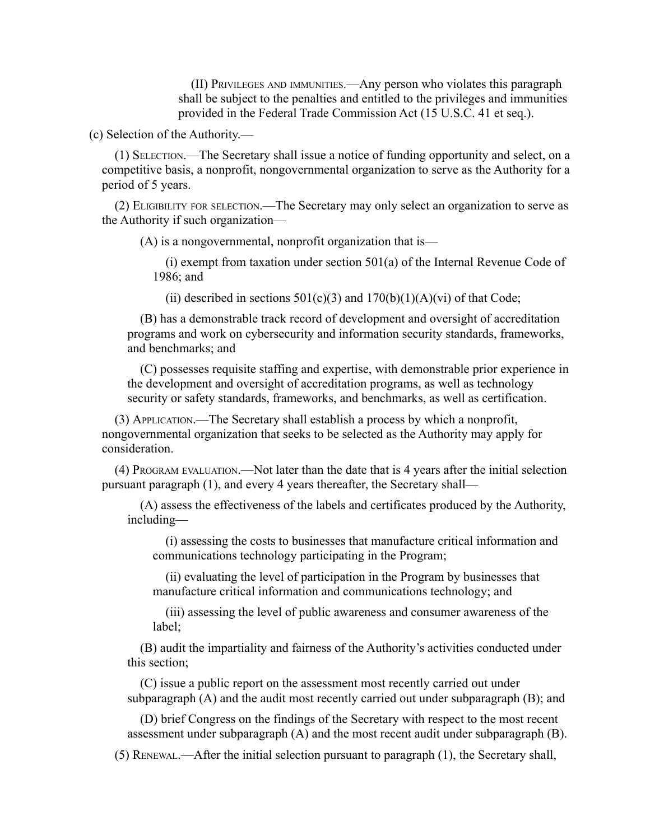(II) PRIVILEGES AND IMMUNITIES.—Any person who violates this paragraph shall be subject to the penalties and entitled to the privileges and immunities provided in the Federal Trade Commission Act (15 U.S.C. 41 et seq.).

(c) Selection of the Authority.—

(1) SELECTION.—The Secretary shall issue a notice of funding opportunity and select, on a competitive basis, a nonprofit, nongovernmental organization to serve as the Authority for a period of 5 years.

(2) ELIGIBILITY FOR SELECTION.—The Secretary may only select an organization to serve as the Authority if such organization—

(A) is a nongovernmental, nonprofit organization that is—

(i) exempt from taxation under section 501(a) of the Internal Revenue Code of 1986; and

(ii) described in sections  $501(c)(3)$  and  $170(b)(1)(A)(vi)$  of that Code;

(B) has a demonstrable track record of development and oversight of accreditation programs and work on cybersecurity and information security standards, frameworks, and benchmarks; and

(C) possesses requisite staffing and expertise, with demonstrable prior experience in the development and oversight of accreditation programs, as well as technology security or safety standards, frameworks, and benchmarks, as well as certification.

(3) APPLICATION.—The Secretary shall establish a process by which a nonprofit, nongovernmental organization that seeks to be selected as the Authority may apply for consideration.

(4) PROGRAM EVALUATION.—Not later than the date that is 4 years after the initial selection pursuant paragraph (1), and every 4 years thereafter, the Secretary shall—

(A) assess the effectiveness of the labels and certificates produced by the Authority, including—

(i) assessing the costs to businesses that manufacture critical information and communications technology participating in the Program;

(ii) evaluating the level of participation in the Program by businesses that manufacture critical information and communications technology; and

(iii) assessing the level of public awareness and consumer awareness of the label;

(B) audit the impartiality and fairness of the Authority's activities conducted under this section;

(C) issue a public report on the assessment most recently carried out under subparagraph (A) and the audit most recently carried out under subparagraph (B); and

(D) brief Congress on the findings of the Secretary with respect to the most recent assessment under subparagraph (A) and the most recent audit under subparagraph (B).

(5) RENEWAL.—After the initial selection pursuant to paragraph (1), the Secretary shall,